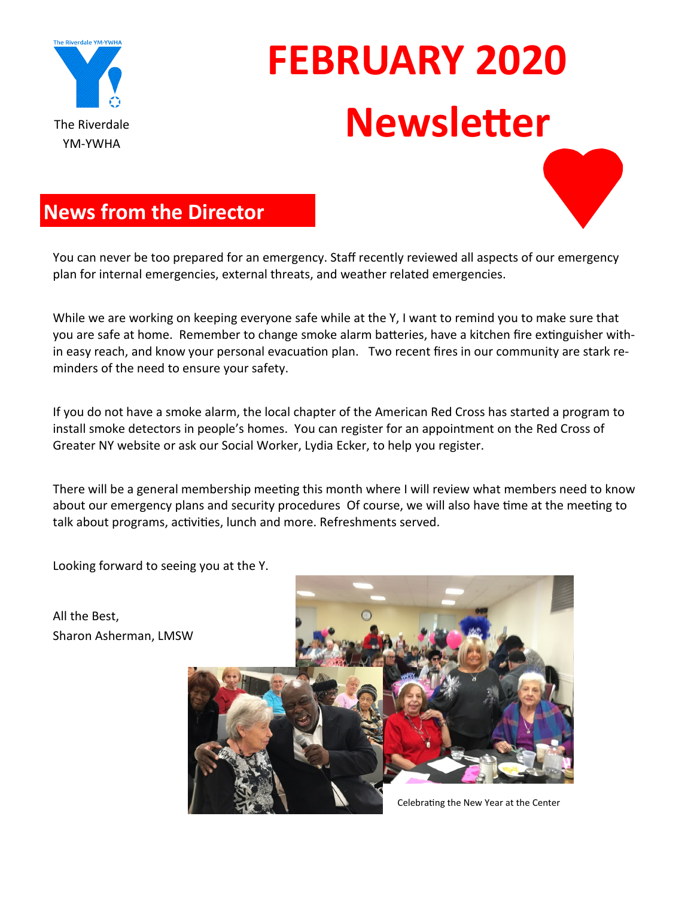

# **FEBRUARY 2020** The Riverdale **Newsletter**



You can never be too prepared for an emergency. Staff recently reviewed all aspects of our emergency plan for internal emergencies, external threats, and weather related emergencies.

While we are working on keeping everyone safe while at the Y, I want to remind you to make sure that you are safe at home. Remember to change smoke alarm batteries, have a kitchen fire extinguisher within easy reach, and know your personal evacuation plan. Two recent fires in our community are stark reminders of the need to ensure your safety.

If you do not have a smoke alarm, the local chapter of the American Red Cross has started a program to install smoke detectors in people's homes. You can register for an appointment on the Red Cross of Greater NY website or ask our Social Worker, Lydia Ecker, to help you register.

There will be a general membership meeting this month where I will review what members need to know about our emergency plans and security procedures Of course, we will also have time at the meeting to talk about programs, activities, lunch and more. Refreshments served.

Looking forward to seeing you at the Y.

All the Best, Sharon Asherman, LMSW

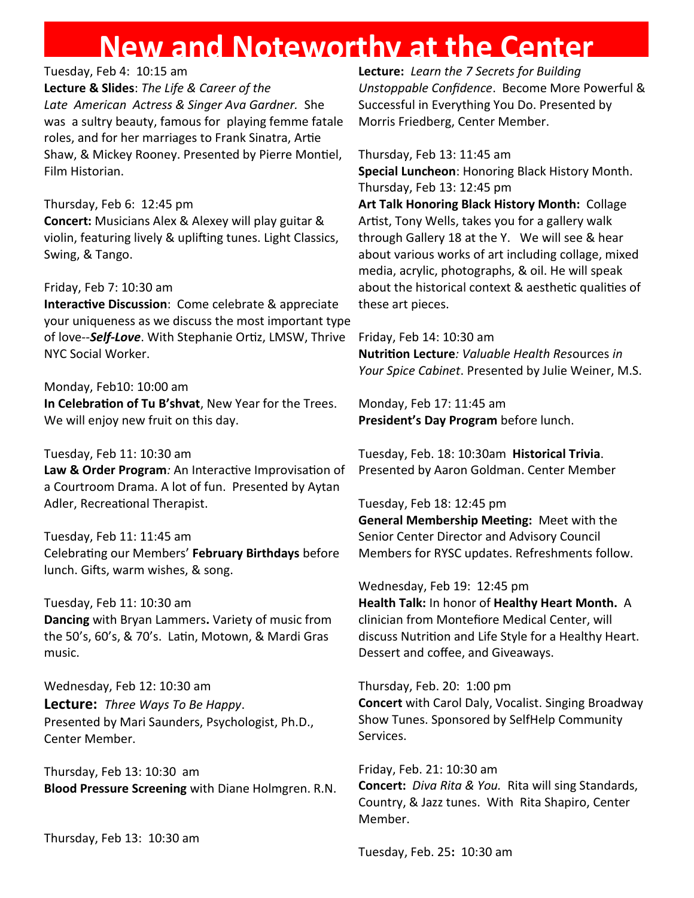# **New and Noteworthy at the Center**

#### Tuesday, Feb 4: 10:15 am

**Lecture & Slides**: *The Life & Career of the Late American Actress & Singer Ava Gardner.* She was a sultry beauty, famous for playing femme fatale roles, and for her marriages to Frank Sinatra, Artie Shaw, & Mickey Rooney. Presented by Pierre Montiel, Film Historian.

#### Thursday, Feb 6: 12:45 pm

**Concert:** Musicians Alex & Alexey will play guitar & violin, featuring lively & uplifting tunes. Light Classics, Swing, & Tango.

#### Friday, Feb 7: 10:30 am

**Interactive Discussion**: Come celebrate & appreciate your uniqueness as we discuss the most important type of love--*Self-Love*. With Stephanie Ortiz, LMSW, Thrive NYC Social Worker.

#### Monday, Feb10: 10:00 am

**In Celebration of Tu B'shvat**, New Year for the Trees. We will enjoy new fruit on this day.

#### Tuesday, Feb 11: 10:30 am

**Law & Order Program***:* An Interactive Improvisation of a Courtroom Drama. A lot of fun. Presented by Aytan Adler, Recreational Therapist.

#### Tuesday, Feb 11: 11:45 am

Celebrating our Members' **February Birthdays** before lunch. Gifts, warm wishes, & song.

#### Tuesday, Feb 11: 10:30 am

**Dancing** with Bryan Lammers**.** Variety of music from the 50's, 60's, & 70's. Latin, Motown, & Mardi Gras music.

Wednesday, Feb 12: 10:30 am **Lecture:** *Three Ways To Be Happy*. Presented by Mari Saunders, Psychologist, Ph.D., Center Member.

Thursday, Feb 13: 10:30 am **Blood Pressure Screening** with Diane Holmgren. R.N.

Thursday, Feb 13: 10:30 am

**Lecture:** *Learn the 7 Secrets for Building Unstoppable Confidence*. Become More Powerful & Successful in Everything You Do. Presented by Morris Friedberg, Center Member.

Thursday, Feb 13: 11:45 am

**Special Luncheon**: Honoring Black History Month. Thursday, Feb 13: 12:45 pm

**Art Talk Honoring Black History Month:** Collage Artist, Tony Wells, takes you for a gallery walk through Gallery 18 at the Y. We will see & hear about various works of art including collage, mixed media, acrylic, photographs, & oil. He will speak about the historical context & aesthetic qualities of these art pieces.

Friday, Feb 14: 10:30 am **Nutrition Lecture***: Valuable Health Res*ources *in Your Spice Cabinet*. Presented by Julie Weiner, M.S.

Monday, Feb 17: 11:45 am **President's Day Program** before lunch.

Tuesday, Feb. 18: 10:30am **Historical Trivia**. Presented by Aaron Goldman. Center Member

#### Tuesday, Feb 18: 12:45 pm

**General Membership Meeting:** Meet with the Senior Center Director and Advisory Council Members for RYSC updates. Refreshments follow.

Wednesday, Feb 19: 12:45 pm **Health Talk:** In honor of **Healthy Heart Month.** A clinician from Montefiore Medical Center, will discuss Nutrition and Life Style for a Healthy Heart. Dessert and coffee, and Giveaways.

Thursday, Feb. 20: 1:00 pm **Concert** with Carol Daly, Vocalist. Singing Broadway Show Tunes. Sponsored by SelfHelp Community Services.

Friday, Feb. 21: 10:30 am **Concert:** *Diva Rita & You.* Rita will sing Standards, Country, & Jazz tunes. With Rita Shapiro, Center Member.

Tuesday, Feb. 25**:** 10:30 am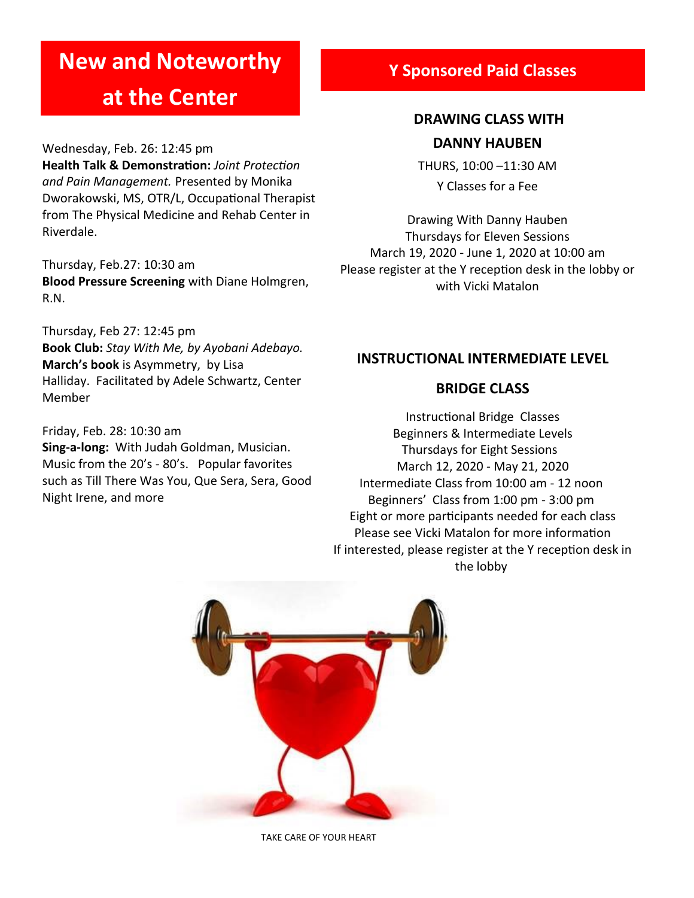# **New and Noteworthy**

# **at the Center**

Wednesday, Feb. 26: 12:45 pm **Health Talk & Demonstration:** *Joint Protection and Pain Management.* Presented by Monika Dworakowski, MS, OTR/L, Occupational Therapist from The Physical Medicine and Rehab Center in Riverdale.

Thursday, Feb.27: 10:30 am **Blood Pressure Screening** with Diane Holmgren, R.N.

Thursday, Feb 27: 12:45 pm **Book Club:** *Stay With Me, by Ayobani Adebayo.*  **March's book** is Asymmetry, by Lisa Halliday. Facilitated by Adele Schwartz, Center Member

Friday, Feb. 28: 10:30 am **Sing-a-long:** With Judah Goldman, Musician. Music from the 20's - 80's. Popular favorites such as Till There Was You, Que Sera, Sera, Good Night Irene, and more

#### **Y Sponsored Paid Classes**

### **DRAWING CLASS WITH DANNY HAUBEN**

THURS, 10:00 –11:30 AM Y Classes for a Fee

Drawing With Danny Hauben Thursdays for Eleven Sessions March 19, 2020 - June 1, 2020 at 10:00 am Please register at the Y reception desk in the lobby or with Vicki Matalon

#### **INSTRUCTIONAL INTERMEDIATE LEVEL**

#### **BRIDGE CLASS**

Instructional Bridge Classes Beginners & Intermediate Levels Thursdays for Eight Sessions March 12, 2020 - May 21, 2020 Intermediate Class from 10:00 am - 12 noon Beginners' Class from 1:00 pm - 3:00 pm Eight or more participants needed for each class Please see Vicki Matalon for more information If interested, please register at the Y reception desk in the lobby



TAKE CARE OF YOUR HEART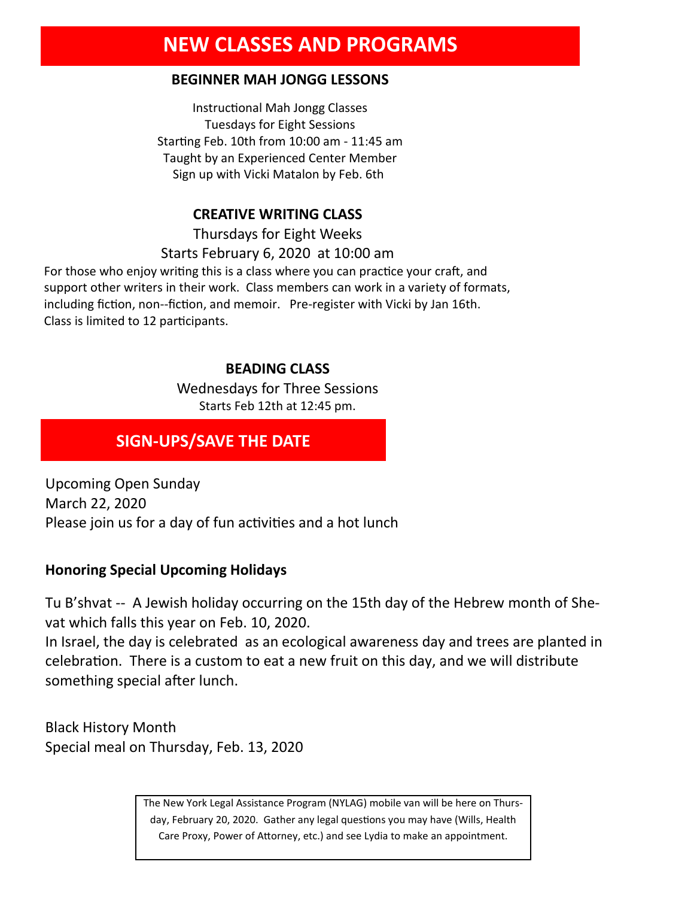# **NEW CLASSES AND PROGRAMS**

#### **BEGINNER MAH JONGG LESSONS**

Instructional Mah Jongg Classes Tuesdays for Eight Sessions Starting Feb. 10th from 10:00 am - 11:45 am Taught by an Experienced Center Member Sign up with Vicki Matalon by Feb. 6th

#### **CREATIVE WRITING CLASS**

Thursdays for Eight Weeks Starts February 6, 2020 at 10:00 am

For those who enjoy writing this is a class where you can practice your craft, and support other writers in their work. Class members can work in a variety of formats, including fiction, non--fiction, and memoir. Pre-register with Vicki by Jan 16th. Class is limited to 12 participants.

#### **BEADING CLASS**

Wednesdays for Three Sessions Starts Feb 12th at 12:45 pm.

#### **SIGN-UPS/SAVE THE DATE**

Upcoming Open Sunday March 22, 2020 Please join us for a day of fun activities and a hot lunch

#### **Honoring Special Upcoming Holidays**

Tu B'shvat -- A Jewish holiday occurring on the 15th day of the Hebrew month of Shevat which falls this year on Feb. 10, 2020.

In Israel, the day is celebrated as an ecological awareness day and trees are planted in celebration. There is a custom to eat a new fruit on this day, and we will distribute something special after lunch.

Black History Month Special meal on Thursday, Feb. 13, 2020

> The New York Legal Assistance Program (NYLAG) mobile van will be here on Thursday, February 20, 2020. Gather any legal questions you may have (Wills, Health Care Proxy, Power of Attorney, etc.) and see Lydia to make an appointment.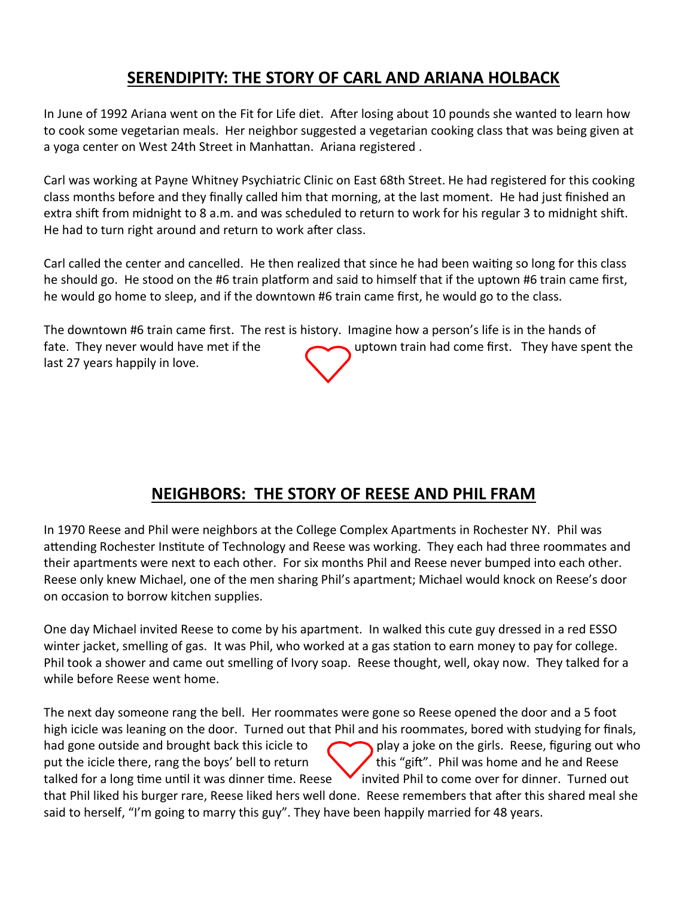### **SERENDIPITY: THE STORY OF CARL AND ARIANA HOLBACK**

In June of 1992 Ariana went on the Fit for Life diet. After losing about 10 pounds she wanted to learn how to cook some vegetarian meals. Her neighbor suggested a vegetarian cooking class that was being given at a yoga center on West 24th Street in Manhattan. Ariana registered .

Carl was working at Payne Whitney Psychiatric Clinic on East 68th Street. He had registered for this cooking class months before and they finally called him that morning, at the last moment. He had just finished an extra shift from midnight to 8 a.m. and was scheduled to return to work for his regular 3 to midnight shift. He had to turn right around and return to work after class.

Carl called the center and cancelled. He then realized that since he had been waiting so long for this class he should go. He stood on the #6 train platform and said to himself that if the uptown #6 train came first, he would go home to sleep, and if the downtown #6 train came first, he would go to the class.

The downtown #6 train came first. The rest is history. Imagine how a person's life is in the hands of fate. They never would have met if the uptown train had come first. They have spent the last 27 years happily in love.

### **NEIGHBORS: THE STORY OF REESE AND PHIL FRAM**

In 1970 Reese and Phil were neighbors at the College Complex Apartments in Rochester NY. Phil was attending Rochester Institute of Technology and Reese was working. They each had three roommates and their apartments were next to each other. For six months Phil and Reese never bumped into each other. Reese only knew Michael, one of the men sharing Phil's apartment; Michael would knock on Reese's door on occasion to borrow kitchen supplies.

One day Michael invited Reese to come by his apartment. In walked this cute guy dressed in a red ESSO winter jacket, smelling of gas. It was Phil, who worked at a gas station to earn money to pay for college. Phil took a shower and came out smelling of Ivory soap. Reese thought, well, okay now. They talked for a while before Reese went home.

The next day someone rang the bell. Her roommates were gone so Reese opened the door and a 5 foot high icicle was leaning on the door. Turned out that Phil and his roommates, bored with studying for finals, had gone outside and brought back this icicle to play a joke on the girls. Reese, figuring out who put the icicle there, rang the boys' bell to return  $\bigcup$  this "gift". Phil was home and he and Reese talked for a long time until it was dinner time. Reese  $\blacktriangledown$  invited Phil to come over for dinner. Turned out that Phil liked his burger rare, Reese liked hers well done. Reese remembers that after this shared meal she said to herself, "I'm going to marry this guy". They have been happily married for 48 years.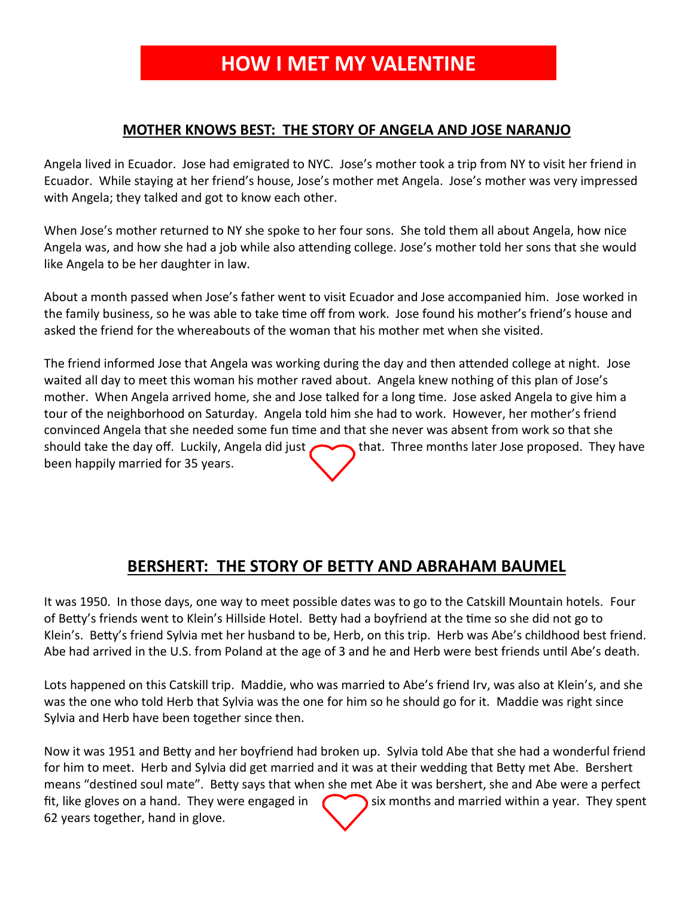# **HOW I MET MY VALENTINE**

#### **MOTHER KNOWS BEST: THE STORY OF ANGELA AND JOSE NARANJO**

Angela lived in Ecuador. Jose had emigrated to NYC. Jose's mother took a trip from NY to visit her friend in Ecuador. While staying at her friend's house, Jose's mother met Angela. Jose's mother was very impressed with Angela; they talked and got to know each other.

When Jose's mother returned to NY she spoke to her four sons. She told them all about Angela, how nice Angela was, and how she had a job while also attending college. Jose's mother told her sons that she would like Angela to be her daughter in law.

About a month passed when Jose's father went to visit Ecuador and Jose accompanied him. Jose worked in the family business, so he was able to take time off from work. Jose found his mother's friend's house and asked the friend for the whereabouts of the woman that his mother met when she visited.

The friend informed Jose that Angela was working during the day and then attended college at night. Jose waited all day to meet this woman his mother raved about. Angela knew nothing of this plan of Jose's mother. When Angela arrived home, she and Jose talked for a long time. Jose asked Angela to give him a tour of the neighborhood on Saturday. Angela told him she had to work. However, her mother's friend convinced Angela that she needed some fun time and that she never was absent from work so that she should take the day off. Luckily, Angela did just  $\sim$  that. Three months later Jose proposed. They have been happily married for 35 years.

### **BERSHERT: THE STORY OF BETTY AND ABRAHAM BAUMEL**

It was 1950. In those days, one way to meet possible dates was to go to the Catskill Mountain hotels. Four of Betty's friends went to Klein's Hillside Hotel. Betty had a boyfriend at the time so she did not go to Klein's. Betty's friend Sylvia met her husband to be, Herb, on this trip. Herb was Abe's childhood best friend. Abe had arrived in the U.S. from Poland at the age of 3 and he and Herb were best friends until Abe's death.

Lots happened on this Catskill trip. Maddie, who was married to Abe's friend Irv, was also at Klein's, and she was the one who told Herb that Sylvia was the one for him so he should go for it. Maddie was right since Sylvia and Herb have been together since then.

Now it was 1951 and Betty and her boyfriend had broken up. Sylvia told Abe that she had a wonderful friend for him to meet. Herb and Sylvia did get married and it was at their wedding that Betty met Abe. Bershert means "destined soul mate". Betty says that when she met Abe it was bershert, she and Abe were a perfect fit, like gloves on a hand. They were engaged in  $\sim$  six months and married within a year. They spent 62 years together, hand in glove.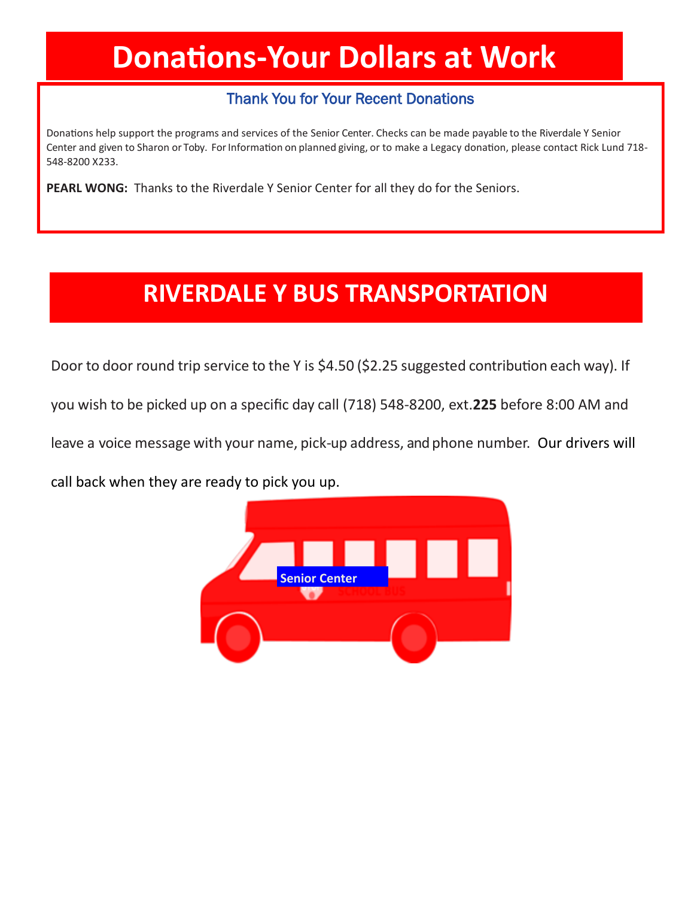# **Donations-Your Dollars at Work**

#### Thank You for Your Recent Donations

Donations help support the programs and services of the Senior Center. Checks can be made payable to the Riverdale Y Senior Center and given to Sharon or Toby. For Information on planned giving, or to make a Legacy donation, please contact Rick Lund 718-548-8200 X233.

**PEARL WONG:** Thanks to the Riverdale Y Senior Center for all they do for the Seniors.

# **RIVERDALE Y BUS TRANSPORTATION**

Door to door round trip service to the Y is \$4.50 (\$2.25 suggested contribution each way). If

you wish to be picked up on a specific day call (718) 548-8200, ext.**225** before 8:00 AM and

leave a voice message with your name, pick-up address, and phone number. Our drivers will

call back when they are ready to pick you up.

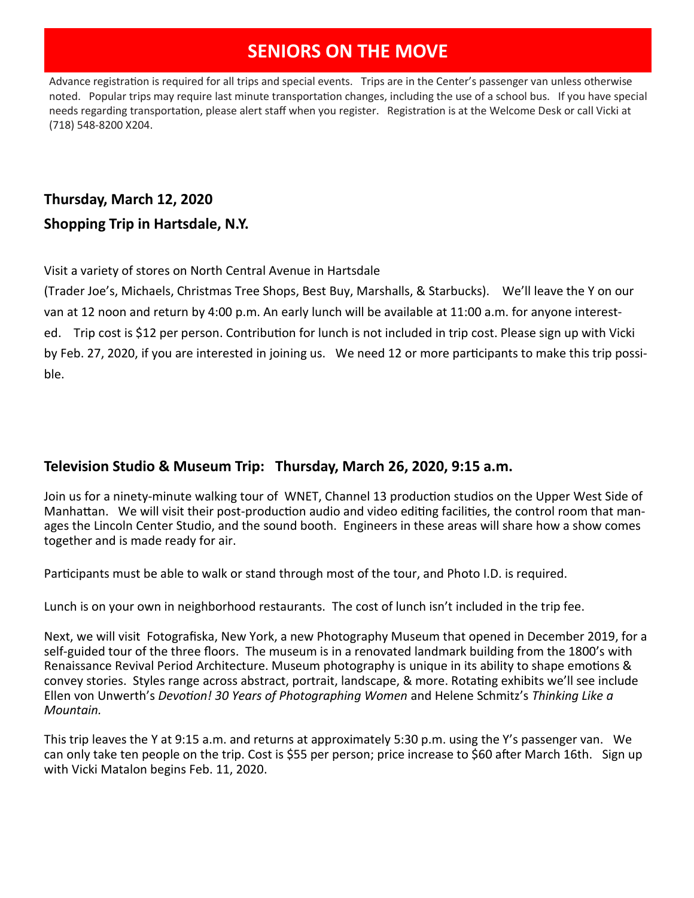## **SENIORS ON THE MOVE**

Advance registration is required for all trips and special events. Trips are in the Center's passenger van unless otherwise noted. Popular trips may require last minute transportation changes, including the use of a school bus. If you have special needs regarding transportation, please alert staff when you register. Registration is at the Welcome Desk or call Vicki at (718) 548-8200 X204.

## **Thursday, March 12, 2020 Shopping Trip in Hartsdale, N.Y.**

Visit a variety of stores on North Central Avenue in Hartsdale

(Trader Joe's, Michaels, Christmas Tree Shops, Best Buy, Marshalls, & Starbucks). We'll leave the Y on our van at 12 noon and return by 4:00 p.m. An early lunch will be available at 11:00 a.m. for anyone interested. Trip cost is \$12 per person. Contribution for lunch is not included in trip cost. Please sign up with Vicki by Feb. 27, 2020, if you are interested in joining us. We need 12 or more participants to make this trip possible.

#### **Television Studio & Museum Trip: Thursday, March 26, 2020, 9:15 a.m.**

Join us for a ninety-minute walking tour of WNET, Channel 13 production studios on the Upper West Side of Manhattan. We will visit their post-production audio and video editing facilities, the control room that manages the Lincoln Center Studio, and the sound booth. Engineers in these areas will share how a show comes together and is made ready for air.

Participants must be able to walk or stand through most of the tour, and Photo I.D. is required.

Lunch is on your own in neighborhood restaurants. The cost of lunch isn't included in the trip fee.

Next, we will visit Fotografiska, New York, a new Photography Museum that opened in December 2019, for a self-guided tour of the three floors. The museum is in a renovated landmark building from the 1800's with Renaissance Revival Period Architecture. Museum photography is unique in its ability to shape emotions & convey stories. Styles range across abstract, portrait, landscape, & more. Rotating exhibits we'll see include Ellen von Unwerth's *Devotion! 30 Years of Photographing Women* and Helene Schmitz's *Thinking Like a Mountain.* 

This trip leaves the Y at 9:15 a.m. and returns at approximately 5:30 p.m. using the Y's passenger van. We can only take ten people on the trip. Cost is \$55 per person; price increase to \$60 after March 16th. Sign up with Vicki Matalon begins Feb. 11, 2020.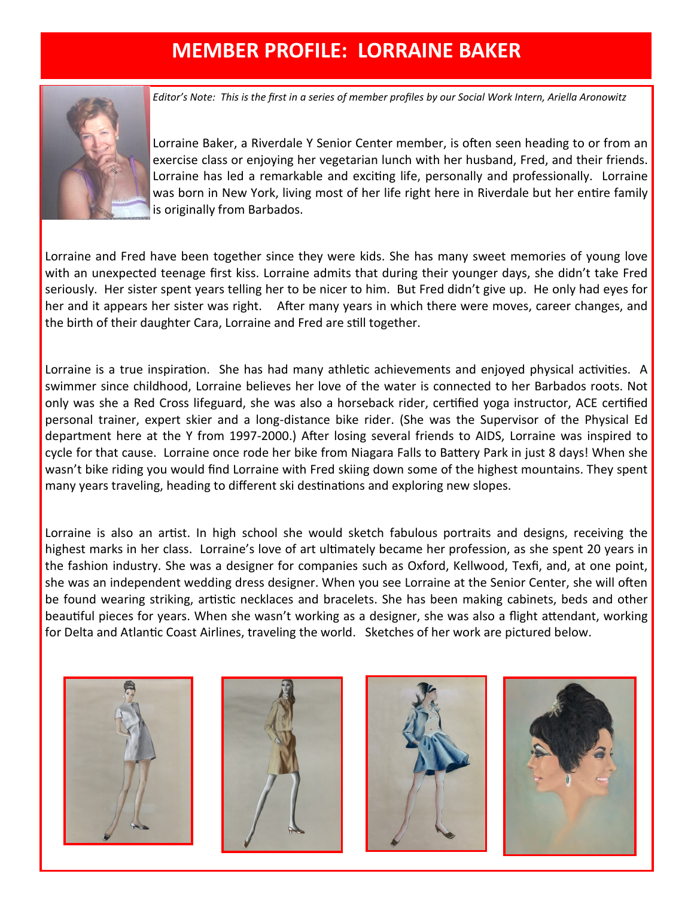# **MEMBER PROFILE: LORRAINE BAKER**



*Editor's Note: This is the first in a series of member profiles by our Social Work Intern, Ariella Aronowitz*

Lorraine Baker, a Riverdale Y Senior Center member, is often seen heading to or from an exercise class or enjoying her vegetarian lunch with her husband, Fred, and their friends. Lorraine has led a remarkable and exciting life, personally and professionally. Lorraine was born in New York, living most of her life right here in Riverdale but her entire family is originally from Barbados.

Lorraine and Fred have been together since they were kids. She has many sweet memories of young love with an unexpected teenage first kiss. Lorraine admits that during their younger days, she didn't take Fred seriously. Her sister spent years telling her to be nicer to him. But Fred didn't give up. He only had eyes for her and it appears her sister was right. After many years in which there were moves, career changes, and the birth of their daughter Cara, Lorraine and Fred are still together.

Lorraine is a true inspiration. She has had many athletic achievements and enjoyed physical activities. A swimmer since childhood, Lorraine believes her love of the water is connected to her Barbados roots. Not only was she a Red Cross lifeguard, she was also a horseback rider, certified yoga instructor, ACE certified personal trainer, expert skier and a long-distance bike rider. (She was the Supervisor of the Physical Ed department here at the Y from 1997-2000.) After losing several friends to AIDS, Lorraine was inspired to cycle for that cause. Lorraine once rode her bike from Niagara Falls to Battery Park in just 8 days! When she wasn't bike riding you would find Lorraine with Fred skiing down some of the highest mountains. They spent many years traveling, heading to different ski destinations and exploring new slopes.

Lorraine is also an artist. In high school she would sketch fabulous portraits and designs, receiving the highest marks in her class. Lorraine's love of art ultimately became her profession, as she spent 20 years in the fashion industry. She was a designer for companies such as Oxford, Kellwood, Texfi, and, at one point, she was an independent wedding dress designer. When you see Lorraine at the Senior Center, she will often be found wearing striking, artistic necklaces and bracelets. She has been making cabinets, beds and other beautiful pieces for years. When she wasn't working as a designer, she was also a flight attendant, working for Delta and Atlantic Coast Airlines, traveling the world. Sketches of her work are pictured below.







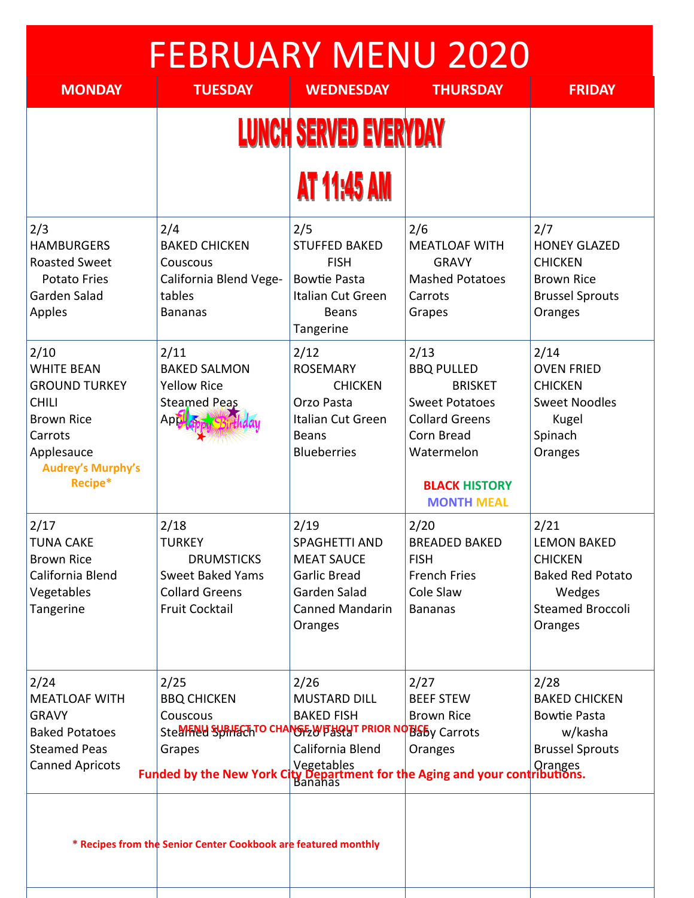| <b>FEBRUARY MENU 2020</b>                                                                                                                              |                                                                                                                                                                                                     |                                                                                                                        |                                                                                                                                                                        |                                                                                                                  |
|--------------------------------------------------------------------------------------------------------------------------------------------------------|-----------------------------------------------------------------------------------------------------------------------------------------------------------------------------------------------------|------------------------------------------------------------------------------------------------------------------------|------------------------------------------------------------------------------------------------------------------------------------------------------------------------|------------------------------------------------------------------------------------------------------------------|
| <b>MONDAY</b>                                                                                                                                          | <b>TUESDAY</b>                                                                                                                                                                                      | <b>WEDNESDAY</b>                                                                                                       | <b>THURSDAY</b>                                                                                                                                                        | <b>FRIDAY</b>                                                                                                    |
| <b>LUNCH SERVED EVERYDAY</b>                                                                                                                           |                                                                                                                                                                                                     |                                                                                                                        |                                                                                                                                                                        |                                                                                                                  |
|                                                                                                                                                        |                                                                                                                                                                                                     | <b>AT 11:45 AM</b>                                                                                                     |                                                                                                                                                                        |                                                                                                                  |
| 2/3<br><b>HAMBURGERS</b><br><b>Roasted Sweet</b><br><b>Potato Fries</b><br>Garden Salad<br>Apples                                                      | 2/4<br><b>BAKED CHICKEN</b><br>Couscous<br>California Blend Vege-<br>tables<br><b>Bananas</b>                                                                                                       | 2/5<br><b>STUFFED BAKED</b><br><b>FISH</b><br><b>Bowtie Pasta</b><br>Italian Cut Green<br><b>Beans</b><br>Tangerine    | 2/6<br><b>MEATLOAF WITH</b><br><b>GRAVY</b><br><b>Mashed Potatoes</b><br>Carrots<br>Grapes                                                                             | 2/7<br><b>HONEY GLAZED</b><br><b>CHICKEN</b><br><b>Brown Rice</b><br><b>Brussel Sprouts</b><br>Oranges           |
| 2/10<br><b>WHITE BEAN</b><br><b>GROUND TURKEY</b><br><b>CHILI</b><br><b>Brown Rice</b><br>Carrots<br>Applesauce<br><b>Audrey's Murphy's</b><br>Recipe* | 2/11<br><b>BAKED SALMON</b><br><b>Yellow Rice</b><br><b>Steamed Peas</b><br>Appl <sub>d</sub>                                                                                                       | 2/12<br><b>ROSEMARY</b><br><b>CHICKEN</b><br>Orzo Pasta<br>Italian Cut Green<br><b>Beans</b><br><b>Blueberries</b>     | 2/13<br><b>BBQ PULLED</b><br><b>BRISKET</b><br><b>Sweet Potatoes</b><br><b>Collard Greens</b><br>Corn Bread<br>Watermelon<br><b>BLACK HISTORY</b><br><b>MONTH MEAL</b> | 2/14<br><b>OVEN FRIED</b><br><b>CHICKEN</b><br><b>Sweet Noodles</b><br>Kugel<br>Spinach<br>Oranges               |
| 2/17<br>TUNA CAKE<br><b>Brown Rice</b><br>California Blend<br>Vegetables<br>Tangerine                                                                  | 2/18<br>TURKEY<br><b>DRUMSTICKS</b><br><b>Sweet Baked Yams</b><br><b>Collard Greens</b><br><b>Fruit Cocktail</b>                                                                                    | 2/19<br>SPAGHETTI AND<br><b>MEAT SAUCE</b><br><b>Garlic Bread</b><br>Garden Salad<br><b>Canned Mandarin</b><br>Oranges | 2/20<br>BREADED BAKED<br><b>FISH</b><br><b>French Fries</b><br>Cole Slaw<br><b>Bananas</b>                                                                             | 2/21<br>LEMON BAKED<br><b>CHICKEN</b><br><b>Baked Red Potato</b><br>Wedges<br><b>Steamed Broccoli</b><br>Oranges |
| 2/24<br><b>MEATLOAF WITH</b><br><b>GRAVY</b><br><b>Baked Potatoes</b><br><b>Steamed Peas</b><br><b>Canned Apricots</b>                                 | 2/25<br><b>BBQ CHICKEN</b><br>Couscous<br>SteerFRUd SUBHECHTO CHANGE WITHOUT PRIOR NOTIEBY Carrots<br>Grapes<br><b>Funded by the New York City Department for the Aging and your contributions.</b> | 2/26<br><b>MUSTARD DILL</b><br><b>BAKED FISH</b><br>California Blend                                                   | 2/27<br><b>BEEF STEW</b><br><b>Brown Rice</b><br>Oranges                                                                                                               | 2/28<br><b>BAKED CHICKEN</b><br><b>Bowtie Pasta</b><br>w/kasha<br><b>Brussel Sprouts</b>                         |
|                                                                                                                                                        | * Recipes from the Senior Center Cookbook are featured monthly                                                                                                                                      |                                                                                                                        |                                                                                                                                                                        |                                                                                                                  |